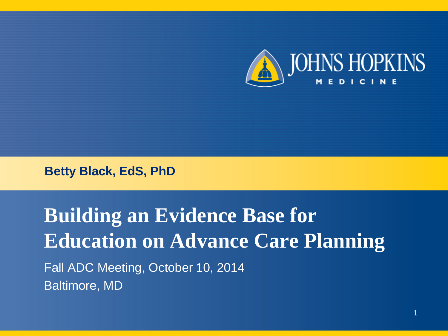

**Betty Black, EdS, PhD**

**Building an Evidence Base for Education on Advance Care Planning** Fall ADC Meeting, October 10, 2014 Baltimore, MD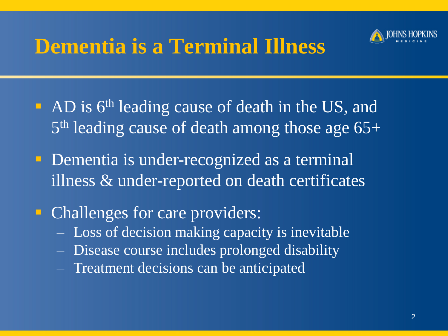

### **Dementia is a Terminal Illness**

- AD is 6<sup>th</sup> leading cause of death in the US, and 5<sup>th</sup> leading cause of death among those age 65+
- **Dementia is under-recognized as a terminal** illness & under-reported on death certificates
- Challenges for care providers: ‒ Loss of decision making capacity is inevitable ‒ Disease course includes prolonged disability ‒ Treatment decisions can be anticipated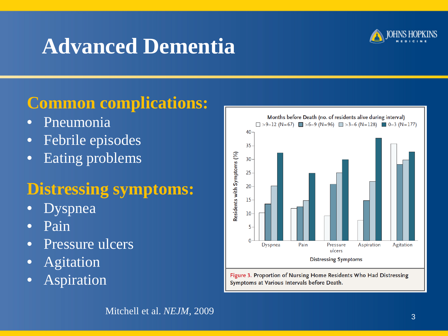# **Advanced Dementia**



### **Common complications:**

- Pneumonia
- Febrile episodes
- Eating problems

### **Distressing symptoms:**

- Dyspnea
- Pain
- Pressure ulcers
- Agitation
- Aspiration



Figure 3. Proportion of Nursing Home Residents Who Had Distressing Symptoms at Various Intervals before Death.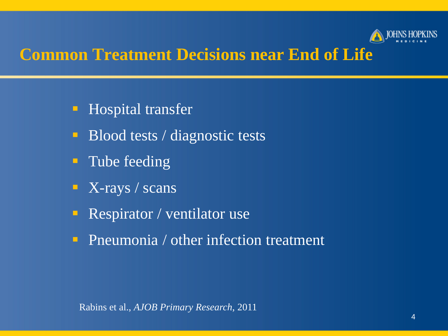

### **Common Treatment Decisions near End of Life**

- **Hospital transfer**
- Blood tests / diagnostic tests
- **Tube feeding**
- $\blacksquare$  X-rays / scans
- Respirator / ventilator use
- **Pneumonia** / other infection treatment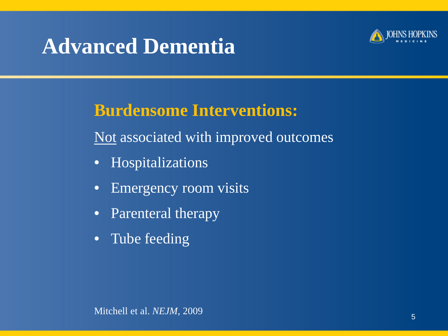## **Advanced Dementia**



### **Burdensome Interventions:**

Not associated with improved outcomes

- Hospitalizations
- Emergency room visits
- Parenteral therapy
- Tube feeding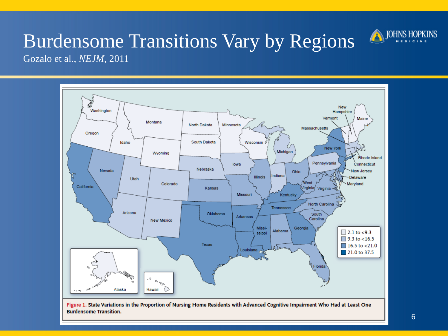

## Burdensome Transitions Vary by Regions

Gozalo et al., *NEJM*, 2011



Figure 1. State Variations in the Proportion of Nursing Home Residents with Advanced Cognitive Impairment Who Had at Least One **Burdensome Transition.**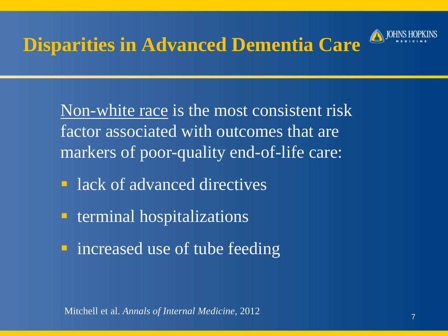### **Disparities in Advanced Dementia Care**



Non-white race is the most consistent risk factor associated with outcomes that are markers of poor-quality end-of-life care:

- **lack of advanced directives**
- **E** terminal hospitalizations
- **n** increased use of tube feeding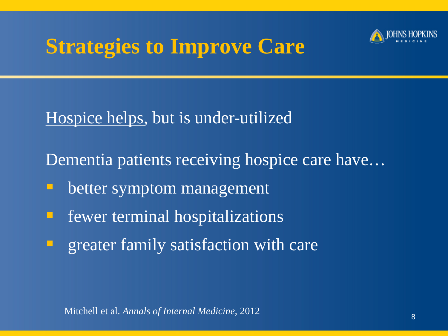# **Strategies to Improve Care**



Hospice helps, but is under-utilized

Dementia patients receiving hospice care have…

- better symptom management
- **Figure 1** fewer terminal hospitalizations
- greater family satisfaction with care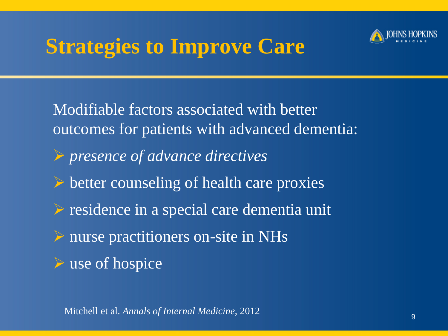# **Strategies to Improve Care**



Modifiable factors associated with better outcomes for patients with advanced dementia: *presence of advance directives*  $\triangleright$  better counseling of health care proxies residence in a special care dementia unit  $\triangleright$  nurse practitioners on-site in NHs  $\triangleright$  use of hospice

Mitchell et al. *Annals of Internal Medicine*, 2012 99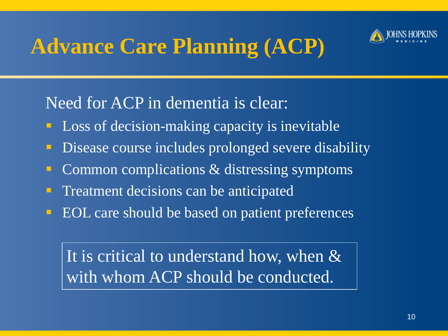

# **Advance Care Planning (ACP)**

### Need for ACP in dementia is clear:

- **Loss of decision-making capacity is inevitable**
- **Disease course includes prolonged severe disability**
- **Common complications & distressing symptoms**
- **Treatment decisions can be anticipated**
- **EOL** care should be based on patient preferences

It is critical to understand how, when & with whom ACP should be conducted.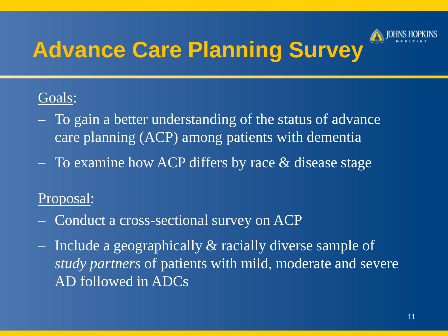

#### Goals:

- ‒ To gain a better understanding of the status of advance care planning (ACP) among patients with dementia
- ‒ To examine how ACP differs by race & disease stage

#### Proposal:

- ‒ Conduct a cross-sectional survey on ACP
- $-$  Include a geographically  $\&$  racially diverse sample of *study partners* of patients with mild, moderate and severe AD followed in ADCs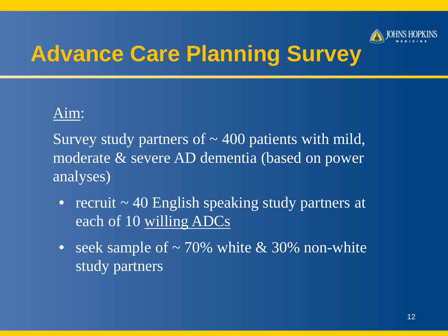

#### Aim:

Survey study partners of  $\sim$  400 patients with mild, moderate & severe AD dementia (based on power analyses)

- recruit  $\sim$  40 English speaking study partners at each of 10 willing ADCs
- seek sample of  $\sim$  70% white & 30% non-white study partners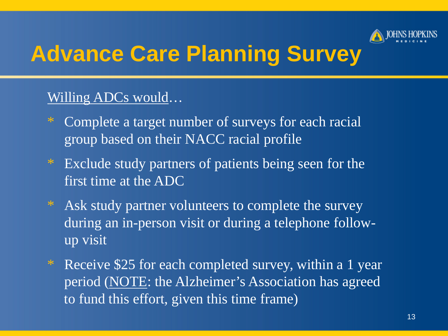

#### Willing ADCs would…

- \* Complete a target number of surveys for each racial group based on their NACC racial profile
- \* Exclude study partners of patients being seen for the first time at the ADC
- \* Ask study partner volunteers to complete the survey during an in-person visit or during a telephone followup visit
- \* Receive \$25 for each completed survey, within a 1 year period (NOTE: the Alzheimer's Association has agreed to fund this effort, given this time frame)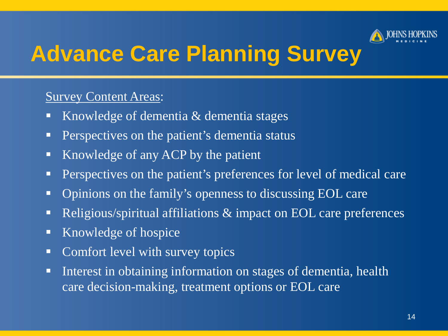

#### Survey Content Areas:

- Knowledge of dementia & dementia stages
- **Perspectives on the patient's dementia status**
- Knowledge of any ACP by the patient
- **Perspectives on the patient's preferences for level of medical care**
- Opinions on the family's openness to discussing EOL care
- Religious/spiritual affiliations  $\&$  impact on EOL care preferences
- Knowledge of hospice
- Comfort level with survey topics
- Interest in obtaining information on stages of dementia, health care decision-making, treatment options or EOL care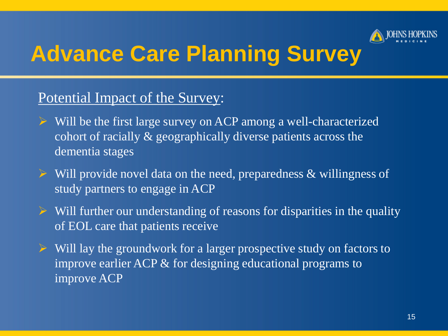

#### Potential Impact of the Survey:

- $\triangleright$  Will be the first large survey on ACP among a well-characterized cohort of racially & geographically diverse patients across the dementia stages
- $\triangleright$  Will provide novel data on the need, preparedness & willingness of study partners to engage in ACP
- $\triangleright$  Will further our understanding of reasons for disparities in the quality of EOL care that patients receive
- $\triangleright$  Will lay the groundwork for a larger prospective study on factors to improve earlier ACP & for designing educational programs to improve ACP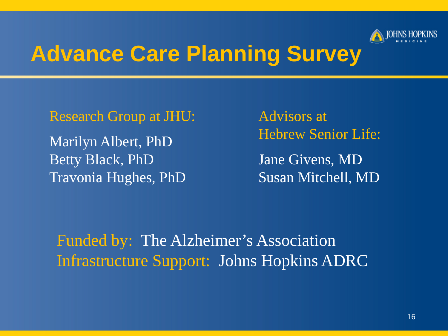

Research Group at JHU: Marilyn Albert, PhD Betty Black, PhD Travonia Hughes, PhD

Advisors at Hebrew Senior Life: Jane Givens, MD Susan Mitchell, MD

Funded by: The Alzheimer's Association Infrastructure Support: Johns Hopkins ADRC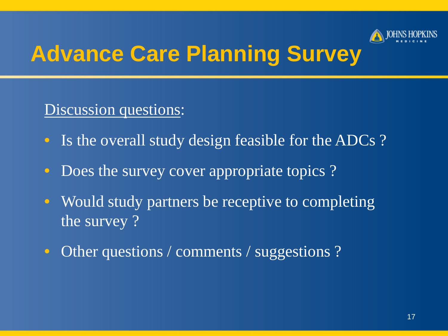

#### Discussion questions:

- Is the overall study design feasible for the ADCs?
- Does the survey cover appropriate topics ?
- Would study partners be receptive to completing. the survey ?
- Other questions / comments / suggestions ?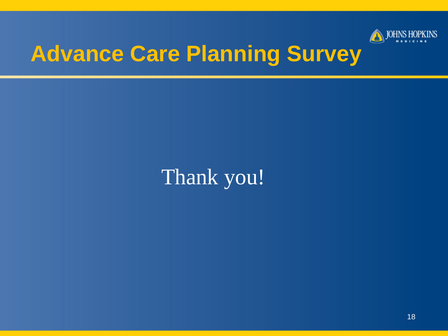

## Thank you!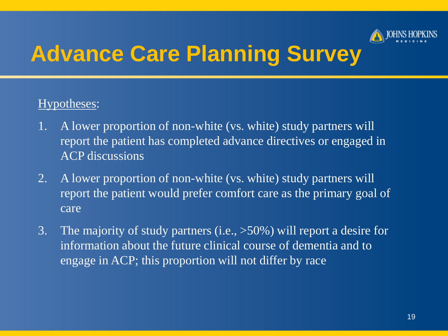

#### Hypotheses:

- 1. A lower proportion of non-white (vs. white) study partners will report the patient has completed advance directives or engaged in ACP discussions
- 2. A lower proportion of non-white (vs. white) study partners will report the patient would prefer comfort care as the primary goal of care
- 3. The majority of study partners (i.e., >50%) will report a desire for information about the future clinical course of dementia and to engage in ACP; this proportion will not differ by race